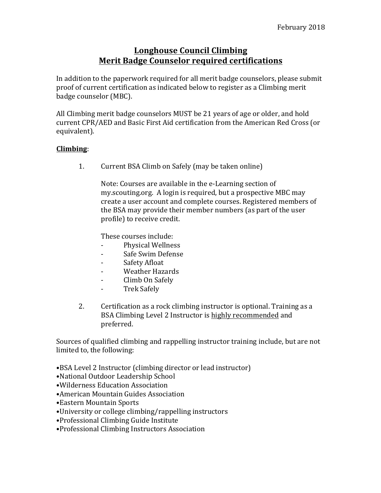## **Longhouse Council Climbing Merit Badge Counselor required certifications**

In addition to the paperwork required for all merit badge counselors, please submit proof of current certification as indicated below to register as a Climbing merit badge counselor (MBC).

All Climbing merit badge counselors MUST be 21 years of age or older, and hold current CPR/AED and Basic First Aid certification from the American Red Cross (or equivalent).

## **Climbing**:

1. Current BSA Climb on Safely (may be taken online)

Note: Courses are available in the e-Learning section of my.scouting.org. A login is required, but a prospective MBC may create a user account and complete courses. Registered members of the BSA may provide their member numbers (as part of the user profile) to receive credit.

These courses include:

- Physical Wellness
- Safe Swim Defense
- Safety Afloat
- Weather Hazards
- Climb On Safely
- Trek Safely
- 2. Certification as a rock climbing instructor is optional. Training as a BSA Climbing Level 2 Instructor is highly recommended and preferred.

Sources of qualified climbing and rappelling instructor training include, but are not limited to, the following:

- •BSA Level 2 Instructor (climbing director or lead instructor)
- •National Outdoor Leadership School
- •Wilderness Education Association
- American Mountain Guides Association
- •Eastern Mountain Sports
- •University or college climbing/rappelling instructors
- Professional Climbing Guide Institute
- •Professional Climbing Instructors Association